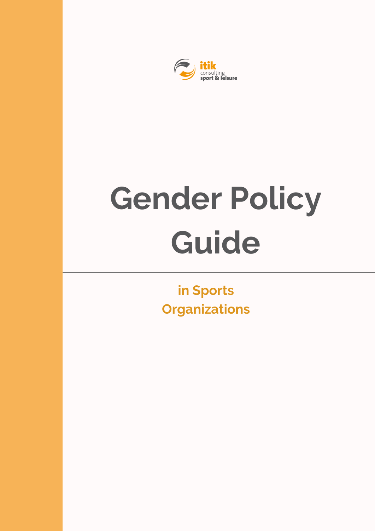

# **Gender Policy Guide**

**in Sports Organizations**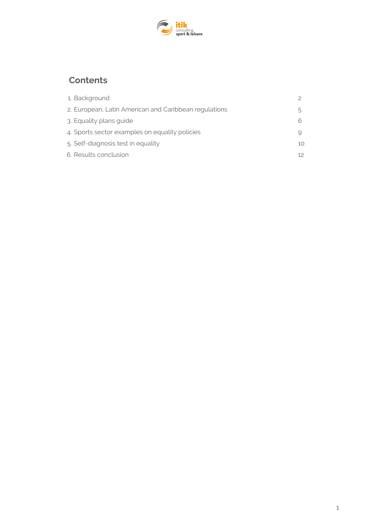

# **Contents**

| 1. Background                                         |     |
|-------------------------------------------------------|-----|
| 2. European, Latin American and Caribbean regulations |     |
| 3. Equality plans guide                               |     |
| 4. Sports sector examples on equality policies        |     |
| 5. Self-diagnosis test in equality                    | 10. |
| 6. Results conclusion                                 |     |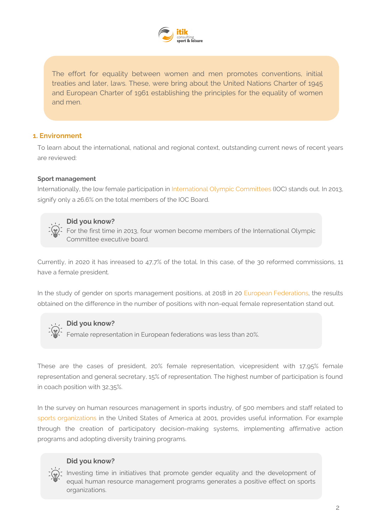

The effort for equality between women and men promotes conventions, initial treaties and later, laws. These, were bring about the United Nations Charter of 1945 and European Charter of 1961 establishing the principles for the equality of women and men.

# **1. Environment**

To learn about the international, national and regional context, outstanding current news of recent years are reviewed:

### **Sport management**

Internationally, the low female participation in International Olympic Committees (IOC) stands out. In 2013, signify only a 26.6% on the total members of the IOC Board.



# **Did you know?**

For the first time in 2013, four women become members of the International Olympic Committee executive board.

Currently, in 2020 it has inreased to 47,7% of the total. In this case, of the 30 reformed commissions, 11 have a female president.

In the study of gender on sports management positions, at 2018 in 20 European Federations, the results obtained on the difference in the number of positions with non-equal female representation stand out.

# **Did you know?**

Female representation in European federations was less than 20%.

These are the cases of president, 20% female representation, vicepresident with 17,95% female representation and general secretary, 15% of representation. The highest number of participation is found in coach position with 32,35%.

In the survey on human resources management in sports industry, of 500 members and staff related to sports organizations in the United States of America at 2001, provides useful information. For example through the creation of participatory decision-making systems, implementing affirmative action programs and adopting diversity training programs.

# **Did you know?**

Investing time in initiatives that promote gender equality and the development of equal human resource management programs generates a positive effect on sports organizations.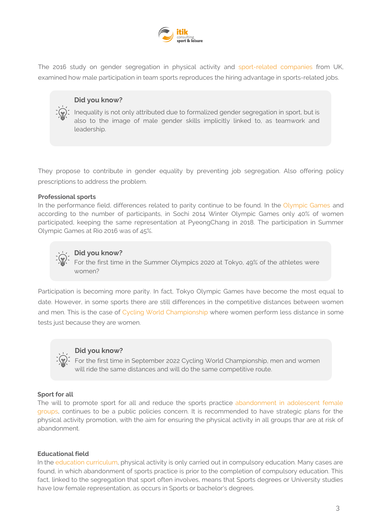

The 2016 study on gender segregation in physical activity and sport-related companies from UK, examined how male participation in team sports reproduces the hiring advantage in sports-related jobs.

# **Did you know?**

Inequality is not only attributed due to formalized gender segregation in sport, but is also to the image of male gender skills implicitly linked to, as teamwork and leadership.

They propose to contribute in gender equality by preventing job segregation. Also offering policy prescriptions to address the problem.

### **Professional sports**

In the performance field, differences related to parity continue to be found. In the Olympic Games and according to the number of participants, in Sochi 2014 Winter Olympic Games only 40% of women participated, keeping the same representation at PyeongChang in 2018. The participation in Summer Olympic Games at Rio 2016 was of 45%.



# **Did you know?**

For the first time in the Summer Olympics 2020 at Tokyo, 49% of the athletes were women?

Participation is becoming more parity. In fact, Tokyo Olympic Games have become the most equal to date. However, in some sports there are still differences in the competitive distances between women and men. This is the case of Cycling World Championship where women perform less distance in some tests just because they are women.



### **Did you know?**

For the first time in September 2022 Cycling World Championship, men and women will ride the same distances and will do the same competitive route.

### **Sport for all**

The will to promote sport for all and reduce the sports practice abandonment in adolescent female groups, continues to be a public policies concern. It is recommended to have strategic plans for the physical activity promotion, with the aim for ensuring the physical activity in all groups thar are at risk of abandonment.

### **Educational field**

In the education curriculum, physical activity is only carried out in compulsory education. Many cases are found, in which abandonment of sports practice is prior to the completion of compulsory education. This fact, linked to the segregation that sport often involves, means that Sports degrees or University studies have low female representation, as occurs in Sports or bachelor's degrees.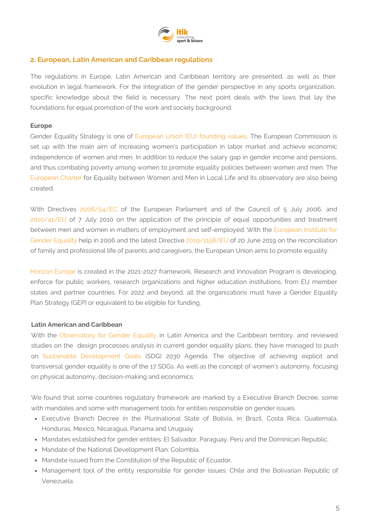

# **2. European, Latin American and Caribbean regulations**

The regulations in Europe, Latin American and Caribbean territory are presented, as well as their evolution in legal framework. For the integration of the gender perspective in any sports organization, specific knowledge about the field is necessary. The next point deals with the laws that lay the foundations for equal promotion of the work and society background.

# **Europe**

Gender Equality Strategy is one of European Union (EU) founding values. The European Commission is set up with the main aim of increasing women's participation in labor market and achieve economic independence of women and men. In addition to reduce the salary gap in gender income and pensions, and thus combating poverty among women to promote equality policies between women and men. The European Charter for Equality between Women and Men in Local Life and its observatory are also being created.

With Directives 2006/54/EC of the European Parliament and of the Council of 5 July 2006, and 2010/41/EU of 7 July 2010 on the application of the principle of equal opportunities and treatment between men and women in matters of employment and self-employed. With the European Institute for Gender Equality help in 2006 and the latest Directive 2019/1158/EU of 20 June 2019 on the reconciliation of family and professional life of parents and caregivers, the European Union aims to promote equality.

Horizon Europe is created in the 2021-2027 framework, Research and Innovation Program is developing, enforce for public workers, research organizations and higher education institutions, from EU member states and partner countries. For 2022 and beyond, all the organizations must have a Gender Equality Plan Strategy (GEP) or equivalent to be eligible for funding.

### **Latin American and Caribbean**

With the Observatory for Gender Equality in Latin America and the Caribbean territory, and reviewed studies on the design processes analysis in current gender equality plans, they have managed to push on Sustainable Development Goals (SDG) 2030 Agenda. The objective of achieving explicit and transversal gender equality is one of the 17 SDGs. As well as the concept of women's autonomy, focusing on physical autonomy, decision-making and economics.

We found that some countries regulatory framework are marked by a Executive Branch Decree, some with mandates and some with management tools for entities responsible on gender issues.

- Executive Branch Decree in the Plurinational State of Bolivia, in Brazil, Costa Rica, Guatemala, Honduras, Mexico, Nicaragua, Panama and Uruguay.
- Mandates established for gender entities: El Salvador, Paraguay, Peru and the Dominican Republic.
- Mandate of the National Development Plan: Colombia.
- Mandate issued from the Constitution of the Republic of Ecuador.
- Management tool of the entity responsible for gender issues: Chile and the Bolivarian Republic of Venezuela.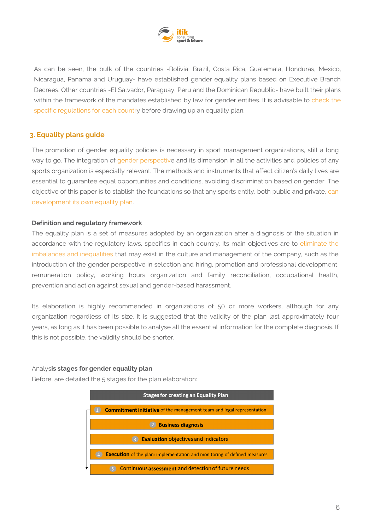

As can be seen, the bulk of the countries -Bolivia, Brazil, Costa Rica, Guatemala, Honduras, Mexico, Nicaragua, Panama and Uruguay- have established gender equality plans based on Executive Branch Decrees. Other countries -El Salvador, Paraguay, Peru and the Dominican Republic- have built their plans within the framework of the mandates established by law for gender entities. It is advisable to check the specific regulations for each country before drawing up an equality plan.

# **3. Equality plans guide**

The promotion of gender equality policies is necessary in sport management organizations, still a long way to go. The integration of gender perspective and its dimension in all the activities and policies of any sports organization is especially relevant. The methods and instruments that affect citizen's daily lives are essential to guarantee equal opportunities and conditions, avoiding discrimination based on gender. The objective of this paper is to stablish the foundations so that any sports entity, both public and private, can development its own equality plan.

### **Definition and regulatory framework**

The equality plan is a set of measures adopted by an organization after a diagnosis of the situation in accordance with the regulatory laws, specifics in each country. Its main objectives are to eliminate the imbalances and inequalities that may exist in the culture and management of the company, such as the introduction of the gender perspective in selection and hiring, promotion and professional development, remuneration policy, working hours organization and family reconciliation, occupational health, prevention and action against sexual and gender-based harassment.

Its elaboration is highly recommended in organizations of 50 or more workers, although for any organization regardless of its size. It is suggested that the validity of the plan last approximately four years, as long as it has been possible to analyse all the essential information for the complete diagnosis. If this is not possible, the validity should be shorter.

### Analys**is stages for gender equality plan**

Before, are detailed the 5 stages for the plan elaboration:

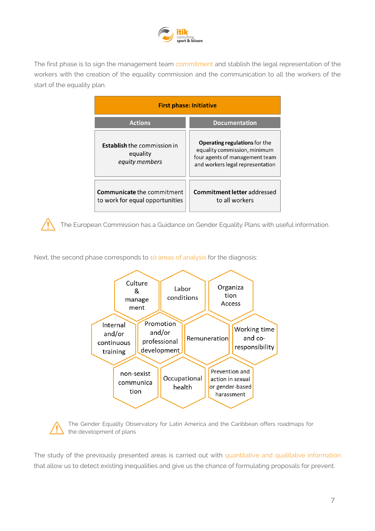

The first phase is to sign the management team commitment and stablish the legal representation of the workers with the creation of the equality commission and the communication to all the workers of the start of the equality plan.

| <b>First phase: Initiative</b>                                       |                                                                                                                                            |  |
|----------------------------------------------------------------------|--------------------------------------------------------------------------------------------------------------------------------------------|--|
| <b>Actions</b>                                                       | <b>Documentation</b>                                                                                                                       |  |
| <b>Establish</b> the commission in<br>equality<br>equity members     | <b>Operating regulations for the</b><br>equality commission, minimum<br>four agents of management team<br>and workers legal representation |  |
| <b>Communicate the commitment</b><br>to work for equal opportunities | <b>Commitment letter addressed</b><br>to all workers                                                                                       |  |

The European Commission has a Guidance on Gender Equality Plans with useful information.

Next, the second phase corresponds to 10 areas of analysis for the diagnosis:





The Gender Equality Observatory for Latin America and the Caribbean offers roadmaps for the development of plans

The study of the previously presented areas is carried out with quantitative and qualitative information that allow us to detect existing inequalities and give us the chance of formulating proposals for prevent.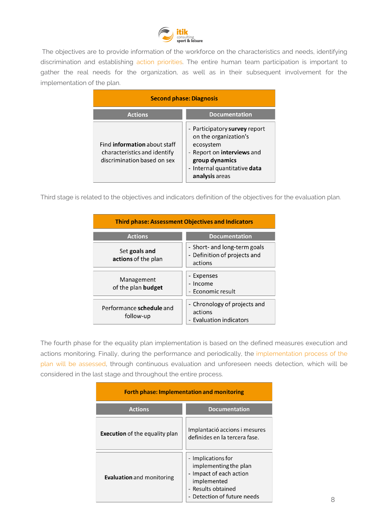

The objectives are to provide information of the workforce on the characteristics and needs, identifying discrimination and establishing action priorities. The entire human team participation is important to gather the real needs for the organization, as well as in their subsequent involvement for the implementation of the plan.

| <b>Second phase: Diagnosis</b>                                                                     |                                                                                                                                                                       |  |
|----------------------------------------------------------------------------------------------------|-----------------------------------------------------------------------------------------------------------------------------------------------------------------------|--|
| <b>Actions</b>                                                                                     | <b>Documentation</b>                                                                                                                                                  |  |
| Find <b>information</b> about staff<br>characteristics and identify<br>discrimination based on sex | - Participatory survey report<br>on the organization's<br>ecosystem<br>- Report on interviews and<br>group dynamics<br>- Internal quantitative data<br>analysis areas |  |

Third stage is related to the objectives and indicators definition of the objectives for the evaluation plan.

| <b>Third phase: Assessment Objectives and Indicators</b> |                                                                         |  |  |
|----------------------------------------------------------|-------------------------------------------------------------------------|--|--|
| <b>Actions</b>                                           | <b>Documentation</b>                                                    |  |  |
| Set goals and<br>actions of the plan                     | - Short- and long-term goals<br>- Definition of projects and<br>actions |  |  |
| Management<br>of the plan budget                         | - Expenses<br>- Income<br>- Economic result                             |  |  |
| Performance schedule and<br>follow-up                    | - Chronology of projects and<br>actions<br>- Evaluation indicators      |  |  |

The fourth phase for the equality plan implementation is based on the defined measures execution and actions monitoring. Finally, during the performance and periodically, the implementation process of the plan will be assessed, through continuous evaluation and unforeseen needs detection, which will be considered in the last stage and throughout the entire process.

| <b>Forth phase: Implementation and monitoring</b> |                                                                                                                                          |  |
|---------------------------------------------------|------------------------------------------------------------------------------------------------------------------------------------------|--|
| <b>Actions</b>                                    | <b>Documentation</b>                                                                                                                     |  |
| <b>Execution</b> of the equality plan             | Implantació accions i mesures<br>definides en la tercera fase.                                                                           |  |
| <b>Evaluation</b> and monitoring                  | - Implications for<br>implementing the plan<br>- Impact of each action<br>implemented<br>- Results obtained<br>Detection of future needs |  |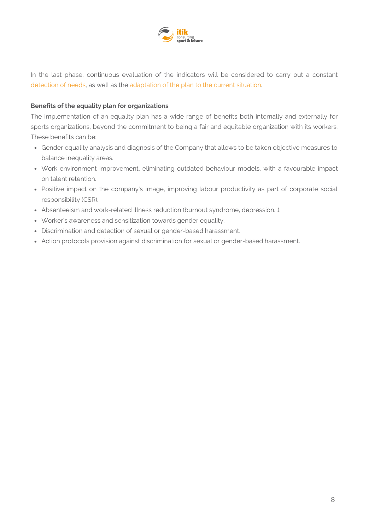

In the last phase, continuous evaluation of the indicators will be considered to carry out a constant detection of needs, as well as the adaptation of the plan to the current situation.

# **Benefits of the equality plan for organizations**

The implementation of an equality plan has a wide range of benefits both internally and externally for sports organizations, beyond the commitment to being a fair and equitable organization with its workers. These benefits can be:

- Gender equality analysis and diagnosis of the Company that allows to be taken objective measures to balance inequality areas.
- Work environment improvement, eliminating outdated behaviour models, with a favourable impact on talent retention.
- Positive impact on the company's image, improving labour productivity as part of corporate social responsibility (CSR).
- Absenteeism and work-related illness reduction (burnout syndrome, depression...).
- Worker's awareness and sensitization towards gender equality.
- Discrimination and detection of sexual or gender-based harassment.
- Action protocols provision against discrimination for sexual or gender-based harassment.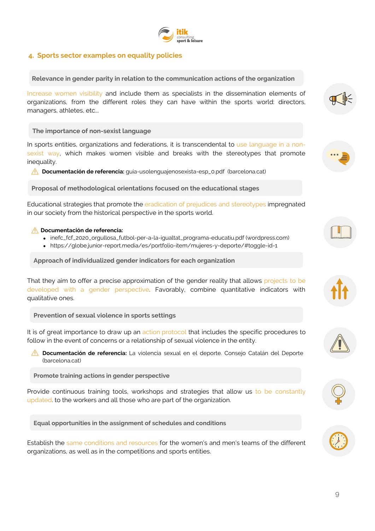# **4. Sports sector examples on equality policies**

**Relevance in gender parity in relation to the communication actions of the organization**

Increase women visibility and include them as specialists in the dissemination elements of organizations, from the different roles they can have within the sports world: directors, managers, athletes, etc...

**The importance of non-sexist language**

In sports entities, organizations and federations, it is transcendental to use language in a nonsexist way, which makes women visible and breaks with the stereotypes that promote inequality.

**Documentación de referencia:** guia-usolenguajenosexista-esp\_0.pdf [\(barcelona.cat\)](https://ajuntament.barcelona.cat/guia-de-llenguatge-no-sexista/pdf/decaleg-llenguatgeinclusiu-v20.pdf)

**Proposal of methodological orientations focused on the educational stages**

Educational strategies that promote the eradication of prejudices and stereotypes impregnated in our society from the historical perspective in the sports world.

### **Documentación de referencia:**

- [inefc\\_fcf\\_2020\\_orgullosa\\_futbol-per-a-la-igualtat\\_programa-educatiu.pdf](https://inefcgiseafe.files.wordpress.com/2020/11/inefc_fcf_2020_orgullosa_futbol-per-a-la-igualtat_programa-educatiu.pdf) (wordpress.com)
- <https://globe.junior-report.media/es/portfolio-item/mujeres-y-deporte/#toggle-id-1>

**Approach of individualized gender indicators for each organization**

That they aim to offer a precise approximation of the gender reality that allows projects to be developed with a gender perspective. Favorably, combine quantitative indicators with qualitative ones.

**Prevention of sexual violence in sports settings**

It is of great importance to draw up an action protocol that includes the specific procedures to follow in the event of concerns or a relationship of sexual violence in the entity.

**Documentación de referencia:** La violencia sexual en el deporte. Consejo Catalán del Deporte (barcelona.cat)

**Promote training actions in gender perspective**

Provide continuous training tools, workshops and strategies that allow us to be constantly updated. to the workers and all those who are part of the organization.

**Equal opportunities in the assignment of schedules and conditions**

Establish the same conditions and resources for the women's and men's teams of the different organizations, as well as in the competitions and sports entities.













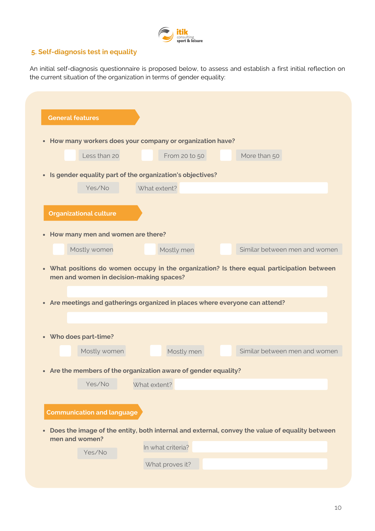

# **5. Self-diagnosis test in equality**

An initial self-diagnosis questionnaire is proposed below, to assess and establish a first initial reflection on the current situation of the organization in terms of gender equality:

|                                                                | • How many workers does your company or organization have?                      |                                                                                                                             |
|----------------------------------------------------------------|---------------------------------------------------------------------------------|-----------------------------------------------------------------------------------------------------------------------------|
| Less than 20                                                   | From 20 to 50                                                                   | More than 50                                                                                                                |
|                                                                | • Is gender equality part of the organization's objectives?                     |                                                                                                                             |
| Yes/No                                                         | What extent?                                                                    |                                                                                                                             |
| <b>Organizational culture</b>                                  |                                                                                 |                                                                                                                             |
| • How many men and women are there?                            |                                                                                 |                                                                                                                             |
| Mostly women                                                   | Mostly men                                                                      | Similar between men and women                                                                                               |
| men and women in decision-making spaces?                       |                                                                                 |                                                                                                                             |
|                                                                | • Are meetings and gatherings organized in places where everyone can attend?    |                                                                                                                             |
| Mostly women                                                   | Mostly men                                                                      | • What positions do women occupy in the organization? Is there equal participation between<br>Similar between men and women |
|                                                                |                                                                                 |                                                                                                                             |
| Yes/No                                                         | • Are the members of the organization aware of gender equality?<br>What extent? |                                                                                                                             |
|                                                                |                                                                                 |                                                                                                                             |
| <b>Communication and language</b>                              |                                                                                 |                                                                                                                             |
|                                                                |                                                                                 | Does the image of the entity, both internal and external, convey the value of equality between                              |
| • Who does part-time?<br>$\bullet$<br>men and women?<br>Yes/No | In what criteria?                                                               |                                                                                                                             |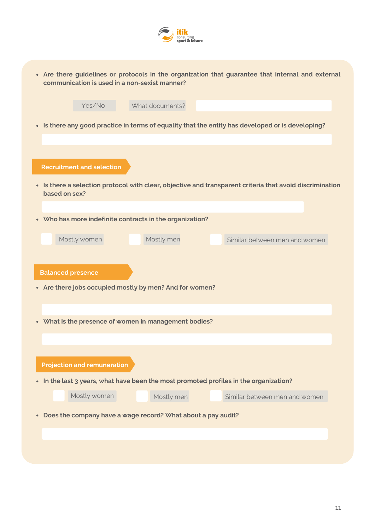

| • Are there guidelines or protocols in the organization that guarantee that internal and external |
|---------------------------------------------------------------------------------------------------|
| communication is used in a non-sexist manner?                                                     |

| Yes/No<br>What documents?                                                                                                 |
|---------------------------------------------------------------------------------------------------------------------------|
| • Is there any good practice in terms of equality that the entity has developed or is developing?                         |
|                                                                                                                           |
|                                                                                                                           |
| <b>Recruitment and selection</b>                                                                                          |
| • Is there a selection protocol with clear, objective and transparent criteria that avoid discrimination<br>based on sex? |
| • Who has more indefinite contracts in the organization?                                                                  |
| Mostly men<br>Mostly women<br>Similar between men and women                                                               |
|                                                                                                                           |
| <b>Balanced presence</b>                                                                                                  |
| • Are there jobs occupied mostly by men? And for women?                                                                   |
|                                                                                                                           |
| • What is the presence of women in management bodies?                                                                     |
|                                                                                                                           |
|                                                                                                                           |
| <b>Projection and remuneration</b>                                                                                        |
| • In the last 3 years, what have been the most promoted profiles in the organization?                                     |
| Mostly women<br>Mostly men<br>Similar between men and women                                                               |
| • Does the company have a wage record? What about a pay audit?                                                            |
|                                                                                                                           |
|                                                                                                                           |
|                                                                                                                           |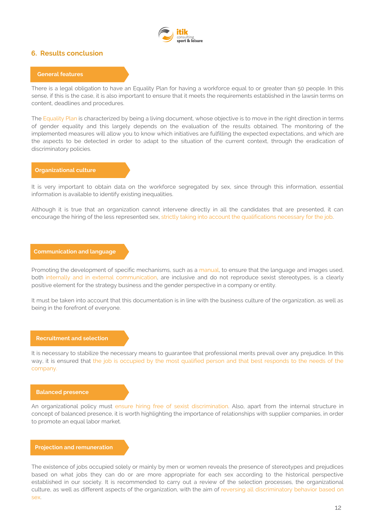

### **6. Results conclusion**

### **General features**

There is a legal obligation to have an Equality Plan for having a workforce equal to or greater than 50 people. In this sense, if this is the case, it is also important to ensure that it meets the requirements established in the lawsin terms on content, deadlines and procedures.

The Equality Plan is characterized by being a living document, whose objective is to move in the right direction in terms of gender equality and this largely depends on the evaluation of the results obtained. The monitoring of the implemented measures will allow you to know which initiatives are fulfilling the expected expectations, and which are the aspects to be detected in order to adapt to the situation of the current context, through the eradication of discriminatory policies.

### **Organizational culture**

It is very important to obtain data on the workforce segregated by sex, since through this information, essential information is available to identify existing inequalities.

Although it is true that an organization cannot intervene directly in all the candidates that are presented, it can encourage the hiring of the less represented sex, strictly taking into account the qualifications necessary for the job.

### **Communication and language**

Promoting the development of specific mechanisms, such as a manual, to ensure that the language and images used, both internally and in external communication, are inclusive and do not reproduce sexist stereotypes, is a clearly positive element for the strategy business and the gender perspective in a company or entity.

It must be taken into account that this documentation is in line with the business culture of the organization, as well as being in the forefront of everyone.

### **Recruitment and selection**

It is necessary to stabilize the necessary means to guarantee that professional merits prevail over any prejudice. In this way, it is ensured that the job is occupied by the most qualified person and that best responds to the needs of the company.

### **Balanced presence**

An organizational policy must ensure hiring free of sexist discrimination. Also, apart from the internal structure in concept of balanced presence, it is worth highlighting the importance of relationships with supplier companies, in order to promote an equal labor market.

### **Projection and remuneration**

The existence of jobs occupied solely or mainly by men or women reveals the presence of stereotypes and prejudices based on what jobs they can do or are more appropriate for each sex according to the historical perspective established in our society. It is recommended to carry out a review of the selection processes, the organizational culture, as well as different aspects of the organization, with the aim of reversing all discriminatory behavior based on sex.